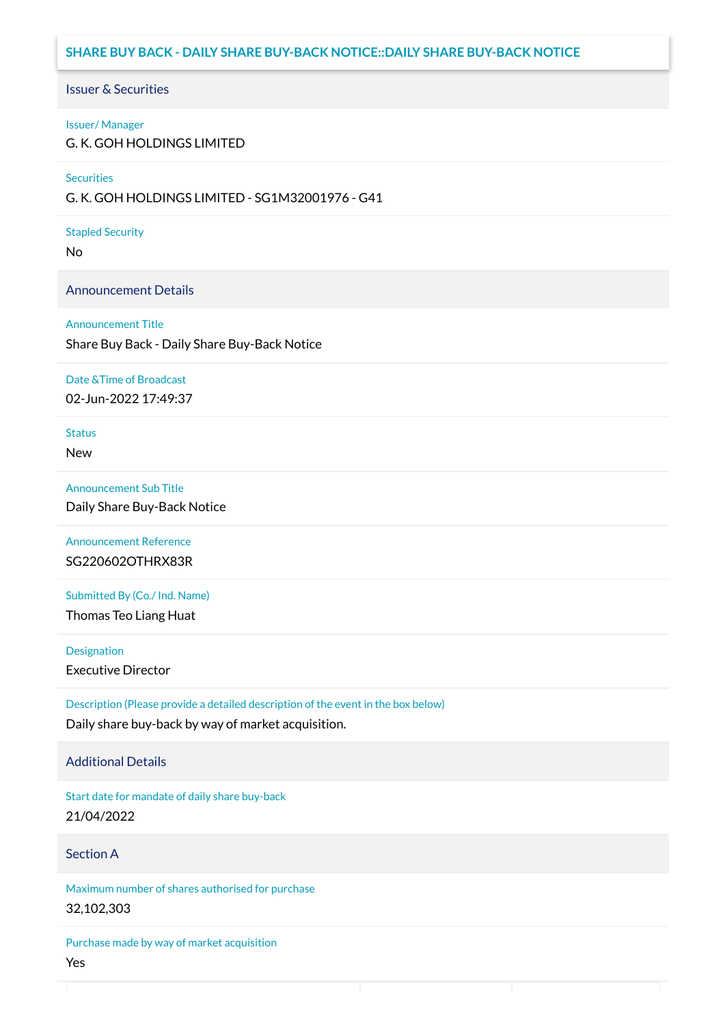# **SHARE BUY BACK - DAILY SHARE BUY-BACK NOTICE::DAILY SHARE BUY-BACK NOTICE**

### Issuer & Securities

#### Issuer/ Manager

G. K. GOH HOLDINGS LIMITED

#### **Securities**

G. K. GOH HOLDINGS LIMITED - SG1M32001976 - G41

#### Stapled Security

No

### Announcement Details

#### Announcement Title

Share Buy Back - Daily Share Buy-Back Notice

#### Date &Time of Broadcast

02-Jun-2022 17:49:37

# **Status**

New

### Announcement Sub Title

Daily Share Buy-Back Notice

### Announcement Reference SG220602OTHRX83R

Submitted By (Co./ Ind. Name)

Thomas Teo Liang Huat

**Designation** 

Executive Director

Description (Please provide a detailed description of the event in the box below) Daily share buy-back by way of market acquisition.

### Additional Details

Start date for mandate of daily share buy-back 21/04/2022

### Section A

Maximum number of shares authorised for purchase 32,102,303

Purchase made by way of market acquisition Yes